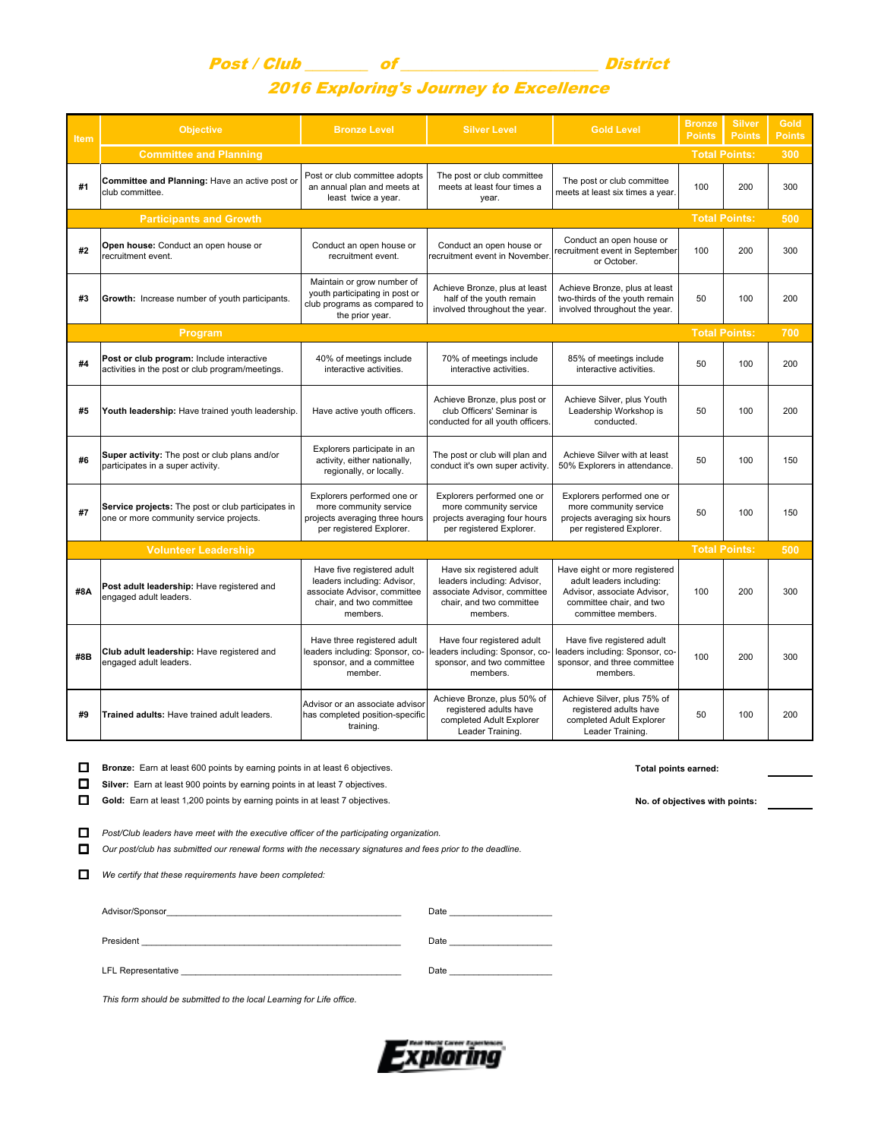## Post / Club \_\_\_\_\_\_\_\_ of \_\_\_\_\_\_\_\_\_\_\_\_\_\_\_\_\_\_\_\_\_\_\_\_\_ District 2016 Exploring's Journey to Excellence

| <b>Item</b>                                                | <b>Objective</b>                                                                              | <b>Bronze Level</b>                                                                                                               | <b>Silver Level</b>                                                                                                              | <b>Gold Level</b>                                                                                                                          | <b>Bronze</b><br><b>Points</b> | <b>Silver</b><br><b>Points</b> | <b>Gold</b><br><b>Points</b> |
|------------------------------------------------------------|-----------------------------------------------------------------------------------------------|-----------------------------------------------------------------------------------------------------------------------------------|----------------------------------------------------------------------------------------------------------------------------------|--------------------------------------------------------------------------------------------------------------------------------------------|--------------------------------|--------------------------------|------------------------------|
|                                                            | <b>Committee and Planning</b>                                                                 |                                                                                                                                   |                                                                                                                                  |                                                                                                                                            |                                | <b>Total Points:</b>           |                              |
| #1                                                         | Committee and Planning: Have an active post or<br>club committee.                             | Post or club committee adopts<br>an annual plan and meets at<br>least twice a year.                                               | The post or club committee<br>meets at least four times a<br>year.                                                               | The post or club committee<br>meets at least six times a year.                                                                             | 100                            | 200                            | 300                          |
|                                                            | <b>Participants and Growth</b>                                                                |                                                                                                                                   |                                                                                                                                  |                                                                                                                                            |                                | <b>Total Points:</b>           | 500                          |
| #2                                                         | Open house: Conduct an open house or<br>recruitment event.                                    | Conduct an open house or<br>recruitment event.                                                                                    | Conduct an open house or<br>recruitment event in November.                                                                       | Conduct an open house or<br>recruitment event in September<br>or October.                                                                  | 100                            | 200                            | 300                          |
| #3                                                         | Growth: Increase number of youth participants.                                                | Maintain or grow number of<br>youth participating in post or<br>club programs as compared to<br>the prior year.                   | Achieve Bronze, plus at least<br>half of the youth remain<br>involved throughout the year.                                       | Achieve Bronze, plus at least<br>two-thirds of the youth remain<br>involved throughout the year.                                           | 50                             | 100                            | 200                          |
|                                                            | Program                                                                                       |                                                                                                                                   |                                                                                                                                  |                                                                                                                                            | <b>Total Points:</b>           |                                | 700                          |
| #4                                                         | Post or club program: Include interactive<br>activities in the post or club program/meetings. | 40% of meetings include<br>interactive activities.                                                                                | 70% of meetings include<br>interactive activities.                                                                               | 85% of meetings include<br>interactive activities.                                                                                         | 50                             | 100                            | 200                          |
| #5                                                         | Youth leadership: Have trained youth leadership.                                              | Have active youth officers.                                                                                                       | Achieve Bronze, plus post or<br>club Officers' Seminar is<br>conducted for all youth officers.                                   | Achieve Silver, plus Youth<br>Leadership Workshop is<br>conducted.                                                                         | 50                             | 100                            | 200                          |
| #6                                                         | Super activity: The post or club plans and/or<br>participates in a super activity.            | Explorers participate in an<br>activity, either nationally,<br>regionally, or locally.                                            | The post or club will plan and<br>conduct it's own super activity.                                                               | Achieve Silver with at least<br>50% Explorers in attendance.                                                                               | 50                             | 100                            | 150                          |
| #7                                                         | Service projects: The post or club participates in<br>one or more community service projects. | Explorers performed one or<br>more community service<br>projects averaging three hours<br>per registered Explorer.                | Explorers performed one or<br>more community service<br>projects averaging four hours<br>per registered Explorer.                | Explorers performed one or<br>more community service<br>projects averaging six hours<br>per registered Explorer.                           | 50                             | 100                            | 150                          |
| <b>Total Points:</b><br><b>Volunteer Leadership</b><br>500 |                                                                                               |                                                                                                                                   |                                                                                                                                  |                                                                                                                                            |                                |                                |                              |
| #8A                                                        | Post adult leadership: Have registered and<br>engaged adult leaders.                          | Have five registered adult<br>leaders including: Advisor,<br>associate Advisor, committee<br>chair, and two committee<br>members. | Have six registered adult<br>leaders including: Advisor,<br>associate Advisor, committee<br>chair, and two committee<br>members. | Have eight or more registered<br>adult leaders including:<br>Advisor, associate Advisor,<br>committee chair, and two<br>committee members. | 100                            | 200                            | 300                          |
| #8B                                                        | Club adult leadership: Have registered and<br>engaged adult leaders.                          | Have three registered adult<br>leaders including: Sponsor, co-<br>sponsor, and a committee<br>member.                             | Have four registered adult<br>leaders including: Sponsor, co-<br>sponsor, and two committee<br>members.                          | Have five registered adult<br>leaders including: Sponsor, co-<br>sponsor, and three committee<br>members.                                  | 100                            | 200                            | 300                          |
| #9                                                         | Trained adults: Have trained adult leaders.                                                   | Advisor or an associate advisor<br>has completed position-specific<br>training.                                                   | Achieve Bronze, plus 50% of<br>registered adults have<br>completed Adult Explorer<br>Leader Training.                            | Achieve Silver, plus 75% of<br>registered adults have<br>completed Adult Explorer<br>Leader Training.                                      | 50                             | 100                            | 200                          |

**Bronze:** Earn at least 600 points by earning points in at least 6 objectives. **The act of the control of the control** of the control of the control of the control of the control of the control of the control of the contro **Silver:** Earn at least 900 points by earning points in at least 7 objectives.

Gold: Earn at least 1,200 points by earning points in at least 7 objectives.<br> **Gold:** Earn at least 1,200 points by earning points in at least 7 objectives.

*Post/Club leaders have meet with the executive officer of the participating organization.*

*Our post/club has submitted our renewal forms with the necessary signatures and fees prior to the deadline.*

*We certify that these requirements have been completed:*

|                    | Date |
|--------------------|------|
| President          | Date |
| LFL Representative | Date |

*This form should be submitted to the local Learning for Life office.*